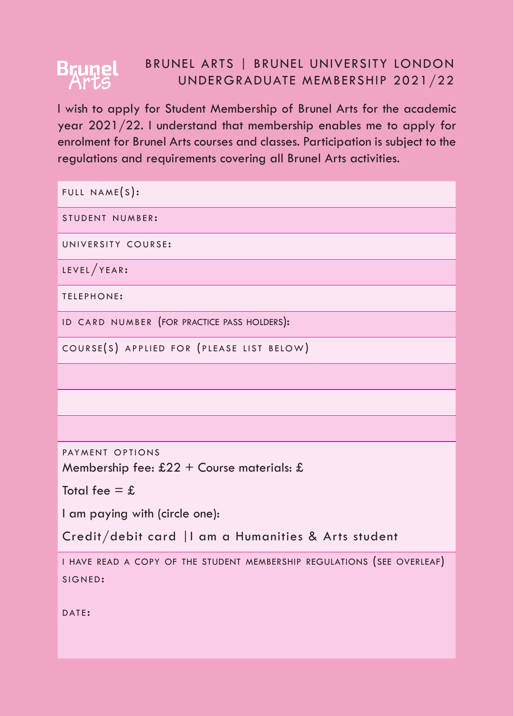## BRUNEL ARTS | BRUNEL UNIVERSITY LONDON **B<sub>Kunel</sub>** UNDERGRADUATE MEMBERSHIP 2021/22

I wish to apply for Student Membership of Brunel Arts for the academic year 2021/22. I understand that membership enables me to apply for enrolment for Brunel Arts courses and classes. Participation is subject to the regulations and requirements covering all Brunel Arts activities.

FULL NAME $(s)$ : STUDENT NUMBER: UNIVERSITY COURSE:  $LEVEL / YEAR:$ TELEPHONE: ID CARD NUMBER (FOR PRACTICE PASS HOLDERS): COURSE(S) APPLIED FOR (PLEASE LIST BELOW)

PAYMENT OPTIONS

Membership fee:  $£22 +$  Course materials: £

Total fee  $=$  £

I am paying with (circle one):

Credit/debit card |I am a Humanities & Arts student

i have read a copy of the student membership regulations (see overleaf) SIGNED:

DATE: